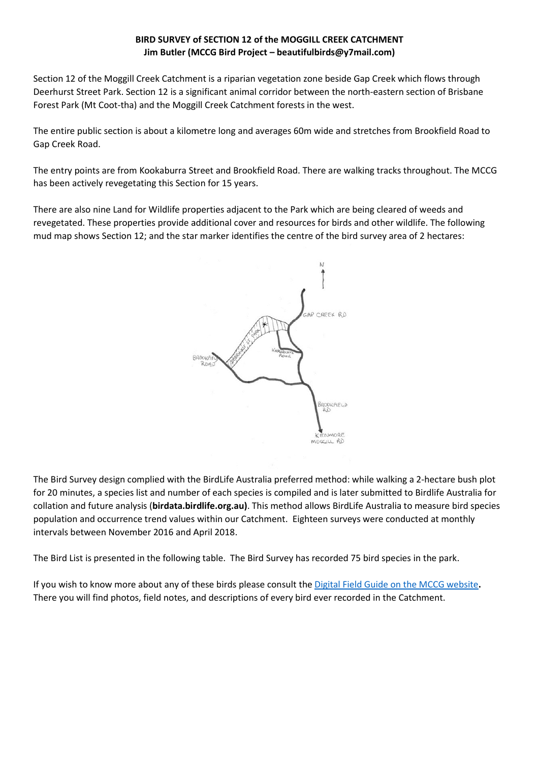## BIRD SURVEY of SECTION 12 of the MOGGILL CREEK CATCHMENT Jim Butler (MCCG Bird Project - beautifulbirds@y7mail.com)

Section 12 of the Moggill Creek Catchment is a riparian vegetation zone beside Gap Creek which flows through Deerhurst Street Park. Section 12 is a significant animal corridor between the north-eastern section of Brisbane Forest Park (Mt Coot-tha) and the Moggill Creek Catchment forests in the west. Deerhurst Street Park. Section 12 is a significant animal corridor between the north-eastern section of Brisbane<br>Forest Park (Mt Coot-tha) and the Moggill Creek Catchment forests in the west.<br>The entire public section is a

Gap Creek Road.

The entry points are from Kookaburra Street and Brookfield Road. There are walking tracks throughout. The MCCG has been actively revegetating this Section for 15 years.

There are also nine Land for Wildlife properties adjacent to the Park which are being cleared of weeds and revegetated. These properties provide additional cover and resources for birds and other wildlife. The following mud map shows Section 12; and the star marker identifies the centre of the bird survey area of 2 hectares:



The Bird Survey design complied with the BirdLife Australia preferred method: while walking a 2-hectare bush plot for 20 minutes, a species list and number of each species is compiled and is later submitted to Birdlife Australia for collation and future analysis (birdata.birdlife.org.au). This method allows BirdLife Australia to measure bird species population and occurrence trend values within our Catchment. Eighteen surveys were conducted at monthly intervals between November 2016 and April 2018.

intervals between November 2016 and April 2018.<br>The Bird List is presented in the following table. The Bird Survey has recorded 75 bird species in the park.

If you wish to know more about any of these birds please consult the Digital Field Guide on the MCCG website. There you will find photos, field notes, and descriptions of every bird ever recorded in the Catchment. There you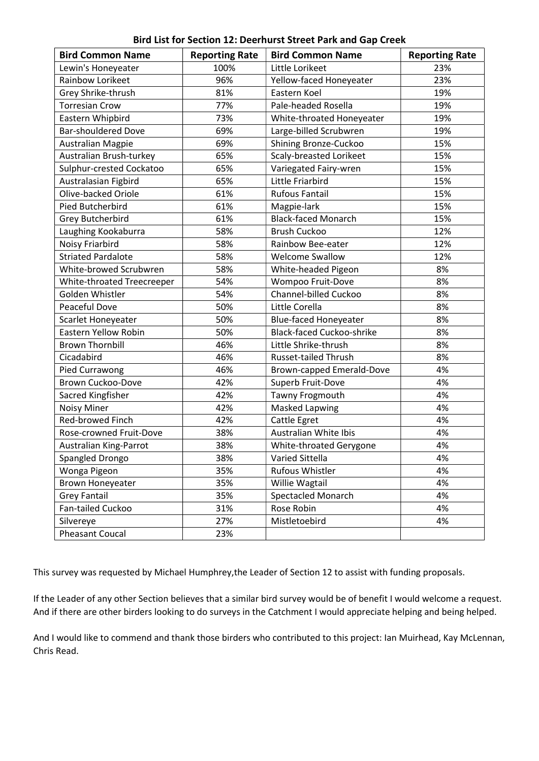|  |  |  |  | Bird List for Section 12: Deerhurst Street Park and Gap Creek |  |  |  |  |  |
|--|--|--|--|---------------------------------------------------------------|--|--|--|--|--|
|--|--|--|--|---------------------------------------------------------------|--|--|--|--|--|

| <b>Bird Common Name</b>     | <b>Reporting Rate</b> | <b>Bird Common Name</b>          | <b>Reporting Rate</b> |
|-----------------------------|-----------------------|----------------------------------|-----------------------|
| Lewin's Honeyeater          | 100%                  | Little Lorikeet                  | 23%                   |
| Rainbow Lorikeet            | 96%                   | Yellow-faced Honeyeater          | 23%                   |
| Grey Shrike-thrush          | 81%                   | Eastern Koel                     | 19%                   |
| <b>Torresian Crow</b>       | 77%                   | Pale-headed Rosella              | 19%                   |
| Eastern Whipbird            | 73%                   | White-throated Honeyeater        | 19%                   |
| <b>Bar-shouldered Dove</b>  | 69%                   | Large-billed Scrubwren           | 19%                   |
| Australian Magpie           | 69%                   | Shining Bronze-Cuckoo            | 15%                   |
| Australian Brush-turkey     | 65%                   | Scaly-breasted Lorikeet          | 15%                   |
| Sulphur-crested Cockatoo    | 65%                   | Variegated Fairy-wren            | 15%                   |
| Australasian Figbird        | 65%                   | Little Friarbird                 | 15%                   |
| Olive-backed Oriole         | 61%                   | <b>Rufous Fantail</b>            | 15%                   |
| Pied Butcherbird            | 61%                   | Magpie-lark                      | 15%                   |
| <b>Grey Butcherbird</b>     | 61%                   | <b>Black-faced Monarch</b>       | 15%                   |
| Laughing Kookaburra         | 58%                   | <b>Brush Cuckoo</b>              | 12%                   |
| Noisy Friarbird             | 58%                   | Rainbow Bee-eater                | 12%                   |
| <b>Striated Pardalote</b>   | 58%                   | <b>Welcome Swallow</b>           | 12%                   |
| White-browed Scrubwren      | 58%                   | White-headed Pigeon              | 8%                    |
| White-throated Treecreeper  | 54%                   | Wompoo Fruit-Dove                | 8%                    |
| Golden Whistler             | 54%                   | Channel-billed Cuckoo            | 8%                    |
| Peaceful Dove               | 50%                   | Little Corella                   | 8%                    |
| Scarlet Honeyeater          | 50%                   | <b>Blue-faced Honeyeater</b>     | 8%                    |
| <b>Eastern Yellow Robin</b> | 50%                   | <b>Black-faced Cuckoo-shrike</b> | 8%                    |
| <b>Brown Thornbill</b>      | 46%                   | Little Shrike-thrush             | 8%                    |
| Cicadabird                  | 46%                   | <b>Russet-tailed Thrush</b>      | 8%                    |
| Pied Currawong              | 46%                   | Brown-capped Emerald-Dove        | 4%                    |
| Brown Cuckoo-Dove           | 42%                   | Superb Fruit-Dove                | 4%                    |
| Sacred Kingfisher           | 42%                   | Tawny Frogmouth                  | 4%                    |
| <b>Noisy Miner</b>          | 42%                   | Masked Lapwing                   | 4%                    |
| Red-browed Finch            | 42%                   | Cattle Egret                     | 4%                    |
| Rose-crowned Fruit-Dove     | 38%                   | Australian White Ibis            | 4%                    |
| Australian King-Parrot      | 38%                   | White-throated Gerygone          | 4%                    |
| Spangled Drongo             | 38%                   | Varied Sittella                  | 4%                    |
| Wonga Pigeon                | 35%                   | Rufous Whistler                  | 4%                    |
| <b>Brown Honeyeater</b>     | 35%                   | Willie Wagtail                   | 4%                    |
| <b>Grey Fantail</b>         | 35%                   | <b>Spectacled Monarch</b>        | 4%                    |
| Fan-tailed Cuckoo           | 31%                   | Rose Robin                       | 4%                    |
| Silvereye                   | 27%                   | Mistletoebird                    | 4%                    |
| <b>Pheasant Coucal</b>      | 23%                   |                                  |                       |

This survey was requested by Michael Humphrey,the Leader of Section 12 to assist with funding proposals.

If the Leader of any other Section believes that a similar bird survey would be of benefit I would welcome a request. And if there are other birders looking to do surveys in the Catchment I would appreciate helping and being helped.

And I would like to commend and thank those birders who contributed to this project: Ian Muirhead, Kay McLennan, Chris Read.